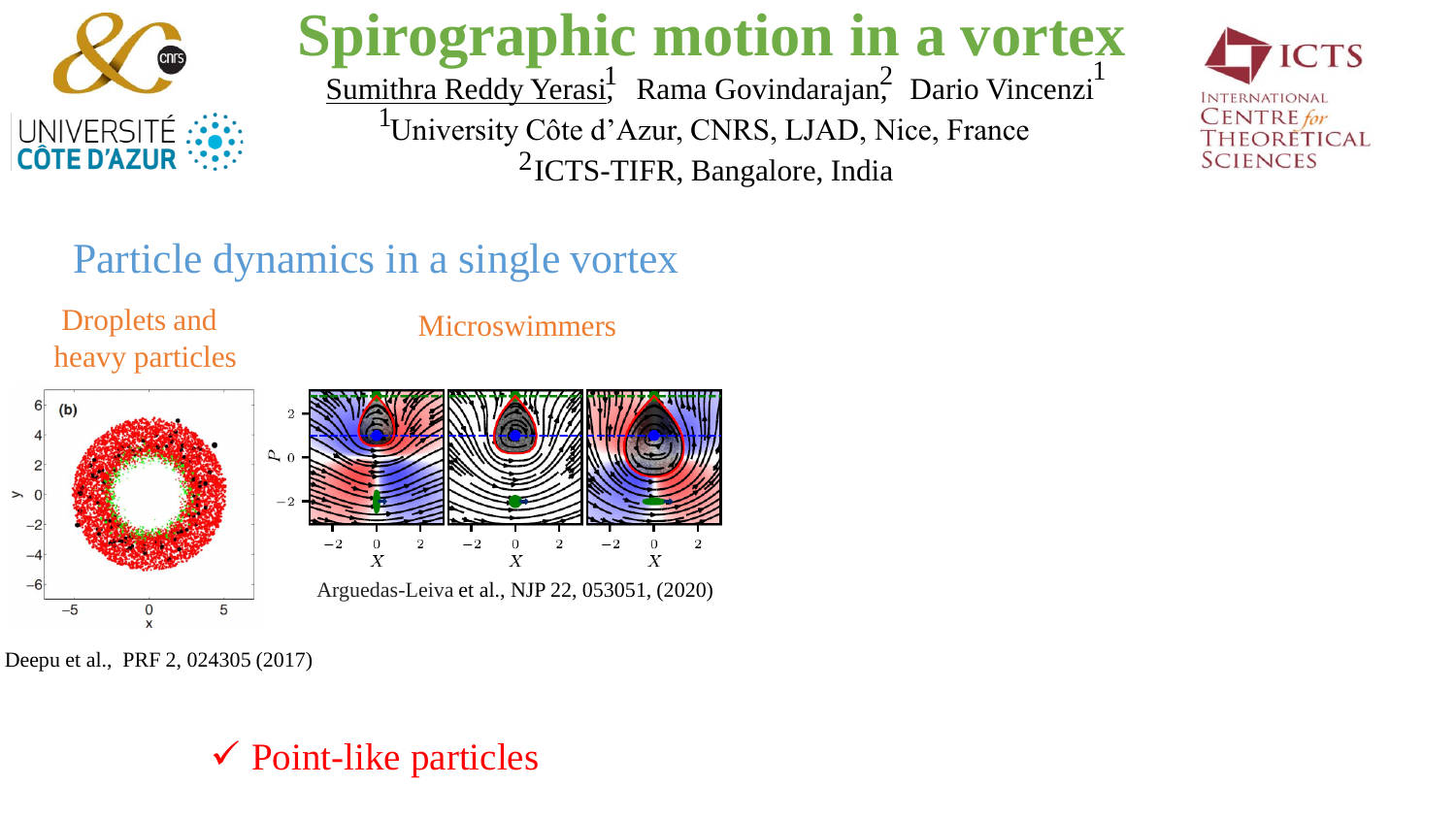

# **Spirographic motion in a vortex**

Sumithra Reddy Yerasi<sup>1</sup>, Rama Govindarajan<sup>2</sup>, Dario Vincenzi <sup>1</sup>University Côte d'Azur, CNRS, LJAD, Nice, France <sup>2</sup>ICTS-TIFR, Bangalore, India  $\frac{1}{2}$  Pama Govindarajan<sup>2</sup> Dario Vinconzi



### Particle dynamics in a single vortex

Droplets and heavy particles

Microswimmers



Deepu et al., PRF 2, 024305 (2017)

#### $\checkmark$  Point-like particles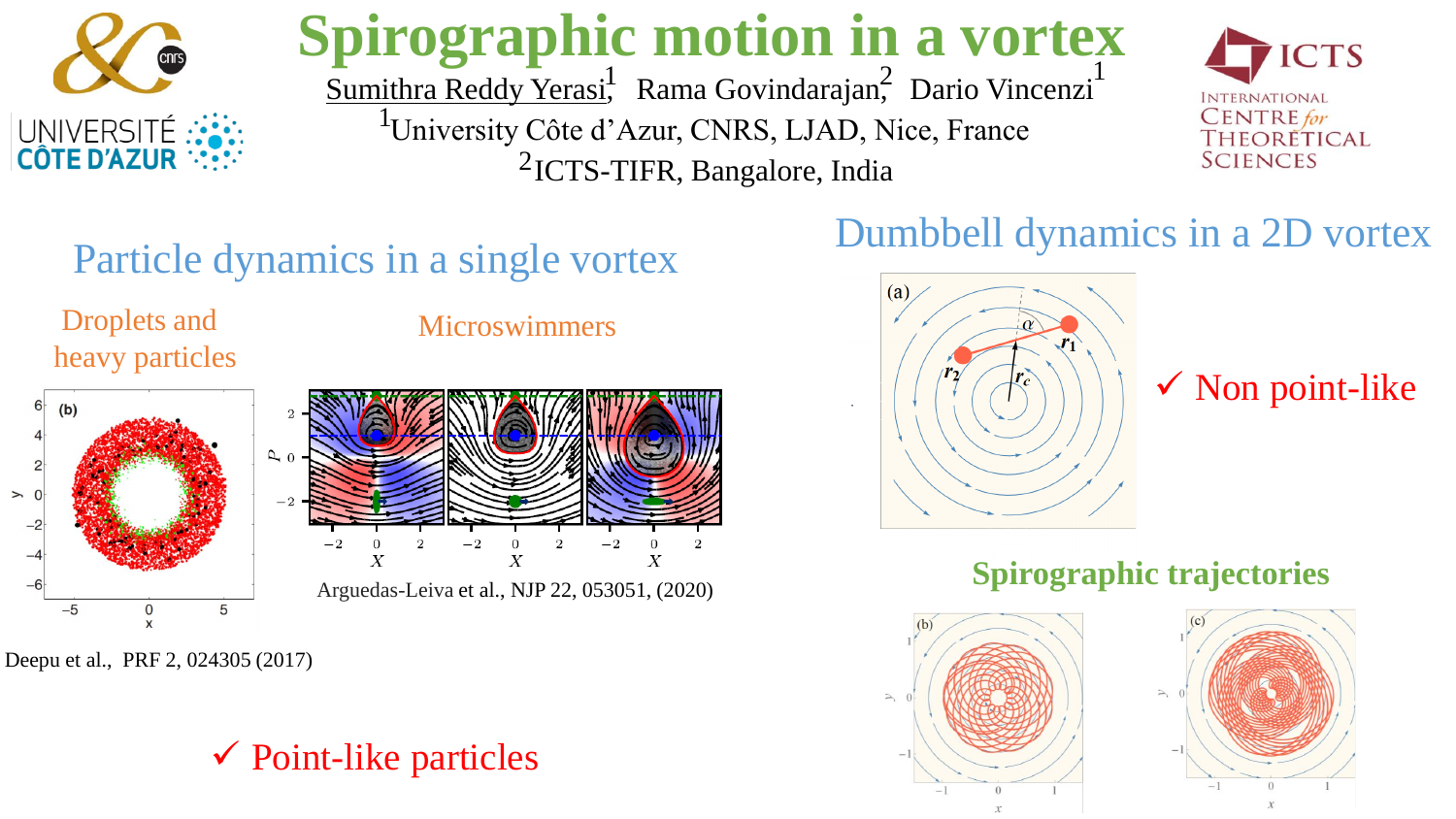

# **Spirographic motion in a vortex**

Sumithra Reddy Yerasi<sup>1</sup>, Rama Govindarajan<sup>2</sup>, Dario Vincenzi <sup>1</sup>University Côte d'Azur, CNRS, LJAD, Nice, France <sup>2</sup>ICTS-TIFR, Bangalore, India  $\frac{1}{2}$  Pama Govindarajan<sup>2</sup> Dario Vinconzi



## Particle dynamics in a single vortex

Droplets and heavy particles

#### Microswimmers



Deepu et al., PRF 2, 024305 (2017)

#### $\checkmark$  Point-like particles

## Dumbbell dynamics in a 2D vortex



#### $\checkmark$  Non point-like

#### **Spirographic trajectories**



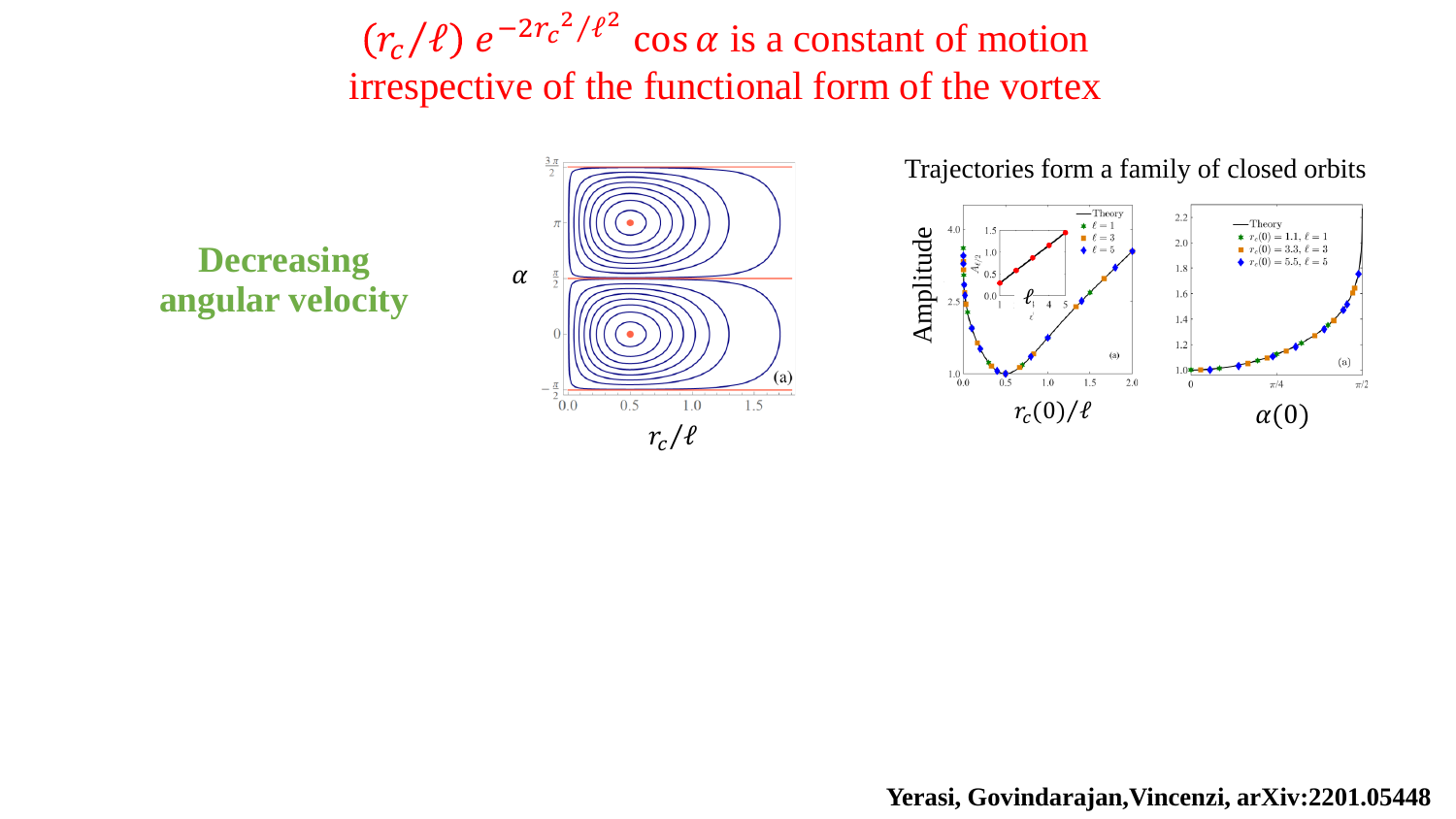$r_c$ / $\ell$ )  $e^{-2r_c^2/\ell^2}$  cos  $\alpha$  is a constant of motion irrespective of the functional form of the vortex

 $r_c/\ell$ 



**Yerasi, Govindarajan,Vincenzi, arXiv:2201.05448**